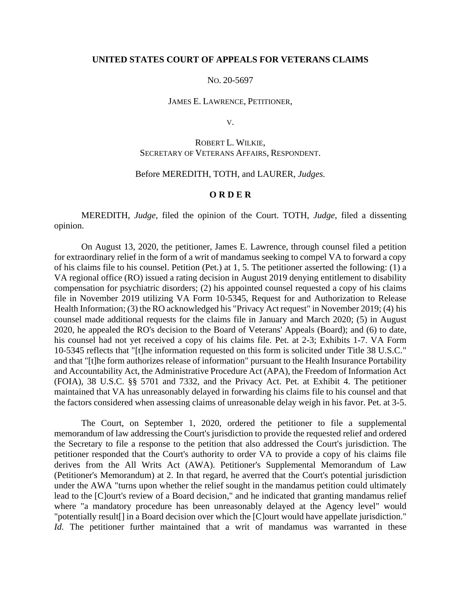### **UNITED STATES COURT OF APPEALS FOR VETERANS CLAIMS**

#### NO. 20-5697

#### JAMES E. LAWRENCE, PETITIONER,

V.

# ROBERT L. WILKIE, SECRETARY OF VETERANS AFFAIRS, RESPONDENT.

### Before MEREDITH, TOTH, and LAURER, *Judges.*

#### **O R D E R**

MEREDITH, *Judge*, filed the opinion of the Court. TOTH, *Judge*, filed a dissenting opinion.

On August 13, 2020, the petitioner, James E. Lawrence, through counsel filed a petition for extraordinary relief in the form of a writ of mandamus seeking to compel VA to forward a copy of his claims file to his counsel. Petition (Pet.) at 1, 5. The petitioner asserted the following: (1) a VA regional office (RO) issued a rating decision in August 2019 denying entitlement to disability compensation for psychiatric disorders; (2) his appointed counsel requested a copy of his claims file in November 2019 utilizing VA Form 10-5345, Request for and Authorization to Release Health Information; (3) the RO acknowledged his "Privacy Act request" in November 2019; (4) his counsel made additional requests for the claims file in January and March 2020; (5) in August 2020, he appealed the RO's decision to the Board of Veterans' Appeals (Board); and (6) to date, his counsel had not yet received a copy of his claims file. Pet. at 2-3; Exhibits 1-7. VA Form 10-5345 reflects that "[t]he information requested on this form is solicited under Title 38 U.S.C." and that "[t]he form authorizes release of information" pursuant to the Health Insurance Portability and Accountability Act, the Administrative Procedure Act (APA), the Freedom of Information Act (FOIA), 38 U.S.C. §§ 5701 and 7332, and the Privacy Act. Pet. at Exhibit 4. The petitioner maintained that VA has unreasonably delayed in forwarding his claims file to his counsel and that the factors considered when assessing claims of unreasonable delay weigh in his favor. Pet. at 3-5.

The Court, on September 1, 2020, ordered the petitioner to file a supplemental memorandum of law addressing the Court's jurisdiction to provide the requested relief and ordered the Secretary to file a response to the petition that also addressed the Court's jurisdiction. The petitioner responded that the Court's authority to order VA to provide a copy of his claims file derives from the All Writs Act (AWA). Petitioner's Supplemental Memorandum of Law (Petitioner's Memorandum) at 2. In that regard, he averred that the Court's potential jurisdiction under the AWA "turns upon whether the relief sought in the mandamus petition could ultimately lead to the [C]ourt's review of a Board decision," and he indicated that granting mandamus relief where "a mandatory procedure has been unreasonably delayed at the Agency level" would "potentially result[] in a Board decision over which the [C]ourt would have appellate jurisdiction." *Id.* The petitioner further maintained that a writ of mandamus was warranted in these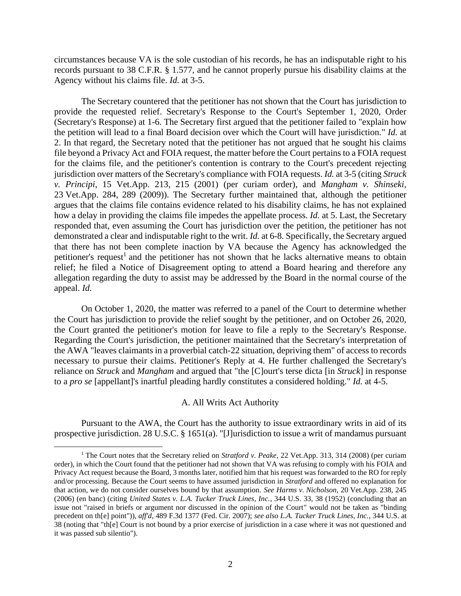circumstances because VA is the sole custodian of his records, he has an indisputable right to his records pursuant to 38 C.F.R. § 1.577, and he cannot properly pursue his disability claims at the Agency without his claims file. *Id.* at 3-5.

The Secretary countered that the petitioner has not shown that the Court has jurisdiction to provide the requested relief. Secretary's Response to the Court's September 1, 2020, Order (Secretary's Response) at 1-6. The Secretary first argued that the petitioner failed to "explain how the petition will lead to a final Board decision over which the Court will have jurisdiction." *Id.* at 2. In that regard, the Secretary noted that the petitioner has not argued that he sought his claims file beyond a Privacy Act and FOIA request, the matter before the Court pertains to a FOIA request for the claims file, and the petitioner's contention is contrary to the Court's precedent rejecting jurisdiction over matters of the Secretary's compliance with FOIA requests. *Id.* at 3-5 (citing *Struck v. Principi*, 15 Vet.App. 213, 215 (2001) (per curiam order), and *Mangham v. Shinseki*, 23 Vet.App. 284, 289 (2009)). The Secretary further maintained that, although the petitioner argues that the claims file contains evidence related to his disability claims, he has not explained how a delay in providing the claims file impedes the appellate process. *Id.* at 5. Last, the Secretary responded that, even assuming the Court has jurisdiction over the petition, the petitioner has not demonstrated a clear and indisputable right to the writ. *Id.* at 6-8. Specifically, the Secretary argued that there has not been complete inaction by VA because the Agency has acknowledged the petitioner's request<sup>1</sup> and the petitioner has not shown that he lacks alternative means to obtain relief; he filed a Notice of Disagreement opting to attend a Board hearing and therefore any allegation regarding the duty to assist may be addressed by the Board in the normal course of the appeal. *Id.*

On October 1, 2020, the matter was referred to a panel of the Court to determine whether the Court has jurisdiction to provide the relief sought by the petitioner, and on October 26, 2020, the Court granted the petitioner's motion for leave to file a reply to the Secretary's Response. Regarding the Court's jurisdiction, the petitioner maintained that the Secretary's interpretation of the AWA "leaves claimants in a proverbial catch-22 situation, depriving them" of access to records necessary to pursue their claims. Petitioner's Reply at 4. He further challenged the Secretary's reliance on *Struck* and *Mangham* and argued that "the [C]ourt's terse dicta [in *Struck*] in response to a *pro se* [appellant]'s inartful pleading hardly constitutes a considered holding." *Id.* at 4-5.

### A. All Writs Act Authority

Pursuant to the AWA, the Court has the authority to issue extraordinary writs in aid of its prospective jurisdiction. 28 U.S.C. § 1651(a). "[J]urisdiction to issue a writ of mandamus pursuant

<sup>1</sup> The Court notes that the Secretary relied on *Stratford v. Peake*, 22 Vet.App. 313, 314 (2008) (per curiam order), in which the Court found that the petitioner had not shown that VA was refusing to comply with his FOIA and Privacy Act request because the Board, 3 months later, notified him that his request was forwarded to the RO for reply and/or processing. Because the Court seems to have assumed jurisdiction in *Stratford* and offered no explanation for that action, we do not consider ourselves bound by that assumption. *See Harms v. Nicholson*, 20 Vet.App. 238, 245 (2006) (en banc) (citing *United States v. L.A. Tucker Truck Lines, Inc.*, 344 U.S. 33, 38 (1952) (concluding that an issue not "raised in briefs or argument nor discussed in the opinion of the Court" would not be taken as "binding precedent on th[e] point")), *aff'd*, 489 F.3d 1377 (Fed. Cir. 2007); *see also L.A. Tucker Truck Lines, Inc.*, 344 U.S. at 38 (noting that "th[e] Court is not bound by a prior exercise of jurisdiction in a case where it was not questioned and it was passed sub silentio").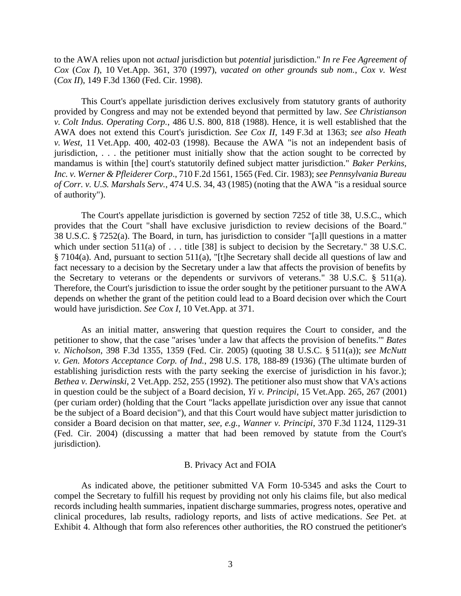to the AWA relies upon not *actual* jurisdiction but *potential* jurisdiction." *In re Fee Agreement of Cox* (*Cox I*), 10 Vet.App. 361, 370 (1997), *vacated on other grounds sub nom.*, *Cox v. West* (*Cox II*), 149 F.3d 1360 (Fed. Cir. 1998).

This Court's appellate jurisdiction derives exclusively from statutory grants of authority provided by Congress and may not be extended beyond that permitted by law. *See Christianson v. Colt Indus. Operating Corp.*, 486 U.S. 800, 818 (1988). Hence, it is well established that the AWA does not extend this Court's jurisdiction. *See Cox II*, 149 F.3d at 1363; *see also Heath v. West*, 11 Vet.App. 400, 402-03 (1998). Because the AWA "is not an independent basis of jurisdiction, . . . the petitioner must initially show that the action sought to be corrected by mandamus is within [the] court's statutorily defined subject matter jurisdiction." *Baker Perkins, Inc. v. Werner & Pfleiderer Corp*., 710 F.2d 1561, 1565 (Fed. Cir. 1983); *see Pennsylvania Bureau of Corr. v. U.S. Marshals Serv.*, 474 U.S. 34, 43 (1985) (noting that the AWA "is a residual source of authority").

The Court's appellate jurisdiction is governed by section 7252 of title 38, U.S.C., which provides that the Court "shall have exclusive jurisdiction to review decisions of the Board." 38 U.S.C. § 7252(a). The Board, in turn, has jurisdiction to consider "[a]ll questions in a matter which under section 511(a) of . . . title [38] is subject to decision by the Secretary." 38 U.S.C. § 7104(a). And, pursuant to section 511(a), "[t]he Secretary shall decide all questions of law and fact necessary to a decision by the Secretary under a law that affects the provision of benefits by the Secretary to veterans or the dependents or survivors of veterans." 38 U.S.C. § 511(a). Therefore, the Court's jurisdiction to issue the order sought by the petitioner pursuant to the AWA depends on whether the grant of the petition could lead to a Board decision over which the Court would have jurisdiction. *See Cox I*, 10 Vet.App. at 371.

As an initial matter, answering that question requires the Court to consider, and the petitioner to show, that the case "arises 'under a law that affects the provision of benefits.'" *Bates v. Nicholson*, 398 F.3d 1355, 1359 (Fed. Cir. 2005) (quoting 38 U.S.C. § 511(a)); *see McNutt v. Gen. Motors Acceptance Corp. of Ind.*, 298 U.S. 178, 188-89 (1936) (The ultimate burden of establishing jurisdiction rests with the party seeking the exercise of jurisdiction in his favor.); *Bethea v. Derwinski*, 2 Vet.App. 252, 255 (1992). The petitioner also must show that VA's actions in question could be the subject of a Board decision, *Yi v. Principi*, 15 Vet.App. 265, 267 (2001) (per curiam order) (holding that the Court "lacks appellate jurisdiction over any issue that cannot be the subject of a Board decision"), and that this Court would have subject matter jurisdiction to consider a Board decision on that matter, *see, e.g., Wanner v. Principi*, 370 F.3d 1124, 1129-31 (Fed. Cir. 2004) (discussing a matter that had been removed by statute from the Court's jurisdiction).

### B. Privacy Act and FOIA

As indicated above, the petitioner submitted VA Form 10-5345 and asks the Court to compel the Secretary to fulfill his request by providing not only his claims file, but also medical records including health summaries, inpatient discharge summaries, progress notes, operative and clinical procedures, lab results, radiology reports, and lists of active medications. *See* Pet. at Exhibit 4. Although that form also references other authorities, the RO construed the petitioner's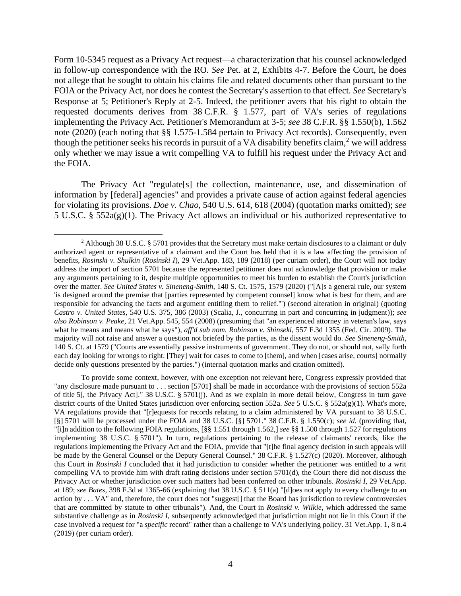Form 10-5345 request as a Privacy Act request—a characterization that his counsel acknowledged in follow-up correspondence with the RO. *See* Pet. at 2, Exhibits 4-7. Before the Court, he does not allege that he sought to obtain his claims file and related documents other than pursuant to the FOIA or the Privacy Act, nor does he contest the Secretary's assertion to that effect. *See* Secretary's Response at 5; Petitioner's Reply at 2-5. Indeed, the petitioner avers that his right to obtain the requested documents derives from 38 C.F.R. § 1.577, part of VA's series of regulations implementing the Privacy Act. Petitioner's Memorandum at 3-5; *see* 38 C.F.R. §§ 1.550(b), 1.562 note (2020) (each noting that §§ 1.575-1.584 pertain to Privacy Act records). Consequently, even though the petitioner seeks his records in pursuit of a VA disability benefits claim,<sup>2</sup> we will address only whether we may issue a writ compelling VA to fulfill his request under the Privacy Act and the FOIA.

The Privacy Act "regulate[s] the collection, maintenance, use, and dissemination of information by [federal] agencies" and provides a private cause of action against federal agencies for violating its provisions. *Doe v. Chao*, 540 U.S. 614, 618 (2004) (quotation marks omitted); *see*  5 U.S.C. § 552a(g)(1). The Privacy Act allows an individual or his authorized representative to

<sup>&</sup>lt;sup>2</sup> Although 38 U.S.C. § 5701 provides that the Secretary must make certain disclosures to a claimant or duly authorized agent or representative of a claimant and the Court has held that it is a law affecting the provision of benefits, *Rosinski v. Shulkin* (*Rosinski I*), 29 Vet.App. 183, 189 (2018) (per curiam order), the Court will not today address the import of section 5701 because the represented petitioner does not acknowledge that provision or make any arguments pertaining to it, despite multiple opportunities to meet his burden to establish the Court's jurisdiction over the matter. *See United States v. Sineneng-Smith*, 140 S. Ct. 1575, 1579 (2020) ("[A]s a general rule, our system 'is designed around the premise that [parties represented by competent counsel] know what is best for them, and are responsible for advancing the facts and argument entitling them to relief.'") (second alteration in original) (quoting *Castro v. United States*, 540 U.S. 375, 386 (2003) (Scalia, J., concurring in part and concurring in judgment)); *see also Robinson v. Peake*[, 21 Vet.App. 545, 554 \(2008\)](https://1.next.westlaw.com/Link/Document/FullText?findType=Y&serNum=2014935202&pubNum=0000463&originatingDoc=I050dea106f5611ea99df8ae889484d86&refType=RP&fi=co_pp_sp_463_554&originationContext=document&transitionType=DocumentItem&contextData=(sc.Search)#co_pp_sp_463_554) (presuming that "an experienced attorney in veteran's law, says what he means and means what he says"), *aff'd sub nom. Robinson v. Shinseki*[, 557 F.3d 1355 \(Fed. Cir. 2009\).](https://1.next.westlaw.com/Link/Document/FullText?findType=Y&serNum=2018208152&pubNum=0000506&originatingDoc=I050dea106f5611ea99df8ae889484d86&refType=RP&originationContext=document&transitionType=DocumentItem&contextData=(sc.Search)) The majority will not raise and answer a question not briefed by the parties, as the dissent would do. *See Sineneng-Smith*, 140 S. Ct. at 1579 ("Courts are essentially passive instruments of government. They do not, or should not, sally forth each day looking for wrongs to right. [They] wait for cases to come to [them], and when [cases arise, courts] normally decide only questions presented by the parties.") (internal quotation marks and citation omitted).

To provide some context, however, with one exception not relevant here, Congress expressly provided that "any disclosure made pursuant to . . . section [5701] shall be made in accordance with the provisions of section 552a of title 5[, the Privacy Act]." 38 U.S.C. § 5701(j). And as we explain in more detail below, Congress in turn gave district courts of the United States jurisdiction over enforcing section 552a. *See* 5 U.S.C. § 552a(g)(1). What's more, VA regulations provide that "[r]equests for records relating to a claim administered by VA pursuant to 38 U.S.C. [§] 5701 will be processed under the FOIA and 38 U.S.C. [§] 5701." 38 C.F.R. § 1.550(c); *see id.* (providing that, "[i]n addition to the following FOIA regulations, [§§ 1.551 through 1.562,] *see* §§ 1.500 through 1.527 for regulations implementing 38 U.S.C. § 5701"). In turn, regulations pertaining to the release of claimants' records, like the regulations implementing the Privacy Act and the FOIA, provide that "[t]he final agency decision in such appeals will be made by the General Counsel or the Deputy General Counsel." 38 C.F.R. § 1.527(c) (2020). Moreover, although this Court in *Rosinski I* concluded that it had jurisdiction to consider whether the petitioner was entitled to a writ compelling VA to provide him with draft rating decisions under section 5701(d), the Court there did not discuss the Privacy Act or whether jurisdiction over such matters had been conferred on other tribunals. *Rosinski I*, 29 Vet.App. at 189; *see Bates*, 398 F.3d at 1365-66 (explaining that 38 U.S.C. § 511(a) "[d]oes not apply to every challenge to an action by  $\dots$  VA" and, therefore, the court does not "suggest[] that the Board has jurisdiction to review controversies that are committed by statute to other tribunals"). And, the Court in *Rosinski v. Wilkie*, which addressed the same substantive challenge as in *Rosinski I*, subsequently acknowledged that jurisdiction might not lie in this Court if the case involved a request for "a *specific* record" rather than a challenge to VA's underlying policy. 31 Vet.App. 1, 8 n.4 (2019) (per curiam order).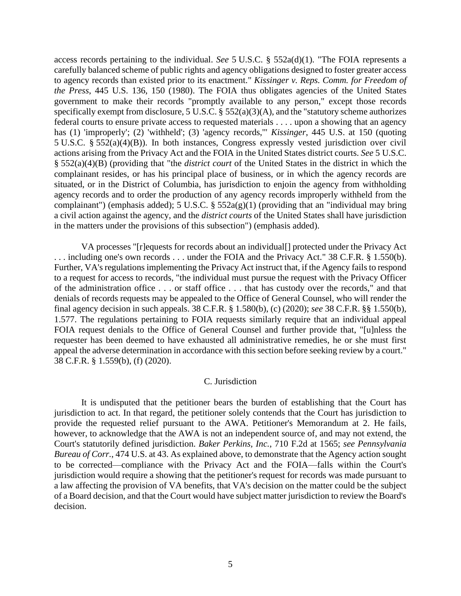access records pertaining to the individual. *See* 5 U.S.C. § 552a(d)(1). "The FOIA represents a carefully balanced scheme of public rights and agency obligations designed to foster greater access to agency records than existed prior to its enactment." *Kissinger v. Reps. Comm. for Freedom of the Press*, 445 U.S. 136, 150 (1980). The FOIA thus obligates agencies of the United States government to make their records "promptly available to any person," except those records specifically exempt from disclosure, 5 U.S.C. § 552(a)(3)(A), and the "statutory scheme authorizes federal courts to ensure private access to requested materials . . . . upon a showing that an agency has (1) 'improperly'; (2) 'withheld'; (3) 'agency records,'" *Kissinger*, 445 U.S. at 150 (quoting 5 U.S.C. § 552(a)(4)(B)). In both instances, Congress expressly vested jurisdiction over civil actions arising from the Privacy Act and the FOIA in the United States district courts. *See* 5 U.S.C. § 552(a)(4)(B) (providing that "the *district court* of the United States in the district in which the complainant resides, or has his principal place of business, or in which the agency records are situated, or in the District of Columbia, has jurisdiction to enjoin the agency from withholding agency records and to order the production of any agency records improperly withheld from the complainant") (emphasis added); 5 U.S.C. §  $552a(g)(1)$  (providing that an "individual may bring a civil action against the agency, and the *district courts* of the United States shall have jurisdiction in the matters under the provisions of this subsection") (emphasis added).

VA processes "[r]equests for records about an individual[] protected under the Privacy Act ... including one's own records ... under the FOIA and the Privacy Act." 38 C.F.R. § 1.550(b). Further, VA's regulations implementing the Privacy Act instruct that, if the Agency fails to respond to a request for access to records, "the individual must pursue the request with the Privacy Officer of the administration office . . . or staff office . . . that has custody over the records," and that denials of records requests may be appealed to the Office of General Counsel, who will render the final agency decision in such appeals. 38 C.F.R. § 1.580(b), (c) (2020); *see* 38 C.F.R. §§ 1.550(b), 1.577. The regulations pertaining to FOIA requests similarly require that an individual appeal FOIA request denials to the Office of General Counsel and further provide that, "[u]nless the requester has been deemed to have exhausted all administrative remedies, he or she must first appeal the adverse determination in accordance with this section before seeking review by a court." 38 C.F.R. § 1.559(b), (f) (2020).

## C. Jurisdiction

It is undisputed that the petitioner bears the burden of establishing that the Court has jurisdiction to act. In that regard, the petitioner solely contends that the Court has jurisdiction to provide the requested relief pursuant to the AWA. Petitioner's Memorandum at 2. He fails, however, to acknowledge that the AWA is not an independent source of, and may not extend, the Court's statutorily defined jurisdiction. *Baker Perkins, Inc.*, 710 F.2d at 1565; *see Pennsylvania Bureau of Corr.*, 474 U.S. at 43. As explained above, to demonstrate that the Agency action sought to be corrected—compliance with the Privacy Act and the FOIA—falls within the Court's jurisdiction would require a showing that the petitioner's request for records was made pursuant to a law affecting the provision of VA benefits, that VA's decision on the matter could be the subject of a Board decision, and that the Court would have subject matter jurisdiction to review the Board's decision.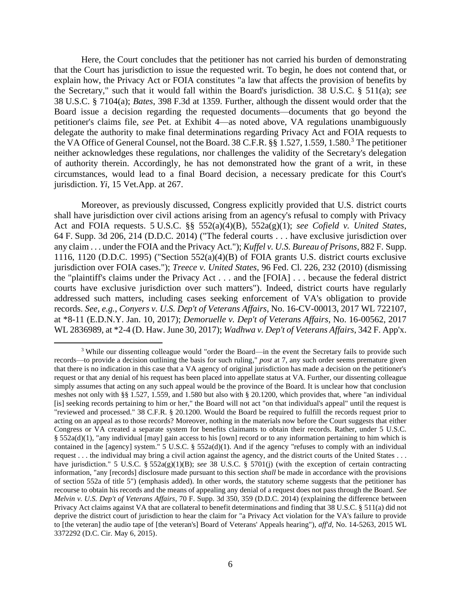Here, the Court concludes that the petitioner has not carried his burden of demonstrating that the Court has jurisdiction to issue the requested writ. To begin, he does not contend that, or explain how, the Privacy Act or FOIA constitutes "a law that affects the provision of benefits by the Secretary," such that it would fall within the Board's jurisdiction. 38 U.S.C. § 511(a); *see*  38 U.S.C. § 7104(a); *Bates*, 398 F.3d at 1359. Further, although the dissent would order that the Board issue a decision regarding the requested documents—documents that go beyond the petitioner's claims file, *see* Pet. at Exhibit 4—as noted above, VA regulations unambiguously delegate the authority to make final determinations regarding Privacy Act and FOIA requests to the VA Office of General Counsel, not the Board. 38 C.F.R. §§ 1.527, 1.559, 1.580.<sup>3</sup> The petitioner neither acknowledges these regulations, nor challenges the validity of the Secretary's delegation of authority therein. Accordingly, he has not demonstrated how the grant of a writ, in these circumstances, would lead to a final Board decision, a necessary predicate for this Court's jurisdiction. *Yi*, 15 Vet.App. at 267.

Moreover, as previously discussed, Congress explicitly provided that U.S. district courts shall have jurisdiction over civil actions arising from an agency's refusal to comply with Privacy Act and FOIA requests. 5 U.S.C. §§ 552(a)(4)(B), 552a(g)(1); *see Cofield v. United States*, 64 F. Supp. 3d 206, 214 (D.D.C. 2014) ("The federal courts . . . have exclusive jurisdiction over any claim . . . under the FOIA and the Privacy Act."); *Kuffel v. U.S. Bureau of Prisons*, 882 F. Supp. 1116, 1120 (D.D.C. 1995) ("Section 552(a)(4)(B) of FOIA grants U.S. district courts exclusive jurisdiction over FOIA cases."); *Treece v. United States*, 96 Fed. Cl. 226, 232 (2010) (dismissing the "plaintiff's claims under the Privacy Act . . . and the [FOIA] . . . because the federal district courts have exclusive jurisdiction over such matters"). Indeed, district courts have regularly addressed such matters, including cases seeking enforcement of VA's obligation to provide records. *See, e.g.*, *Conyers v. U.S. Dep't of Veterans Affairs*, No. 16-CV-00013, 2017 WL 722107, at \*8-11 (E.D.N.Y. Jan. 10, 2017); *Demoruelle v. Dep't of Veterans Affairs*, No. 16-00562, 2017 WL 2836989, at \*2-4 (D. Haw. June 30, 2017); *Wadhwa v. Dep't of Veterans Affairs*, 342 F. App'x.

<sup>3</sup> While our dissenting colleague would "order the Board—in the event the Secretary fails to provide such records—to provide a decision outlining the basis for such ruling," *post* at 7, any such order seems premature given that there is no indication in this case that a VA agency of original jurisdiction has made a decision on the petitioner's request or that any denial of his request has been placed into appellate status at VA. Further, our dissenting colleague simply assumes that acting on any such appeal would be the province of the Board. It is unclear how that conclusion meshes not only with §§ 1.527, 1.559, and 1.580 but also with § 20.1200, which provides that, where "an individual [is] seeking records pertaining to him or her," the Board will not act "on that individual's appeal" until the request is "reviewed and processed." 38 C.F.R. § 20.1200. Would the Board be required to fulfill the records request prior to acting on an appeal as to those records? Moreover, nothing in the materials now before the Court suggests that either Congress or VA created a separate system for benefits claimants to obtain their records. Rather, under 5 U.S.C. § 552a(d)(1), "any individual [may] gain access to his [own] record or to any information pertaining to him which is contained in the [agency] system." 5 U.S.C. §  $552a(d)(1)$ . And if the agency "refuses to comply with an individual request . . . the individual may bring a civil action against the agency, and the district courts of the United States . . . have jurisdiction." 5 U.S.C. § 552a(g)(1)(B); *see* 38 U.S.C. § 5701(j) (with the exception of certain contracting information, "any [records] disclosure made pursuant to this section *shall* be made in accordance with the provisions of section 552a of title 5") (emphasis added). In other words, the statutory scheme suggests that the petitioner has recourse to obtain his records and the means of appealing any denial of a request does not pass through the Board. *See Melvin v. U.S. Dep't of Veterans Affairs*, 70 F. Supp. 3d 350, 359 (D.D.C. 2014) (explaining the difference between Privacy Act claims against VA that are collateral to benefit determinations and finding that 38 U.S.C. § 511(a) did not deprive the district court of jurisdiction to hear the claim for "a Privacy Act violation for the VA's failure to provide to [the veteran] the audio tape of [the veteran's] Board of Veterans' Appeals hearing"), *aff'd*, No. 14-5263, 2015 WL 3372292 (D.C. Cir. May 6, 2015).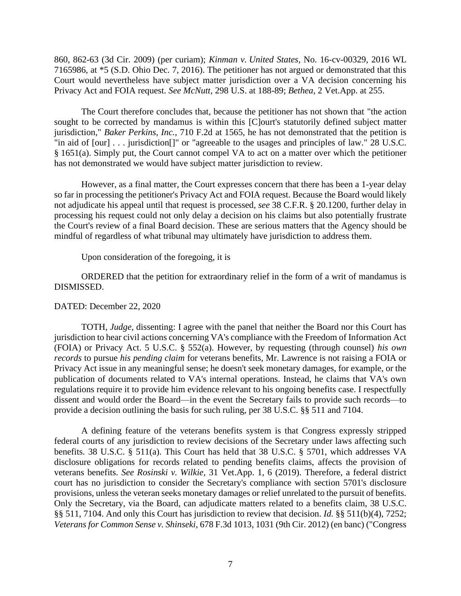860, 862-63 (3d Cir. 2009) (per curiam); *Kinman v. United States*, No. 16-cv-00329, 2016 WL 7165986, at \*5 (S.D. Ohio Dec. 7, 2016). The petitioner has not argued or demonstrated that this Court would nevertheless have subject matter jurisdiction over a VA decision concerning his Privacy Act and FOIA request. *See McNutt*, 298 U.S. at 188-89; *Bethea*, 2 Vet.App. at 255.

The Court therefore concludes that, because the petitioner has not shown that "the action sought to be corrected by mandamus is within this [C]ourt's statutorily defined subject matter jurisdiction," *Baker Perkins, Inc.*, 710 F.2d at 1565, he has not demonstrated that the petition is "in aid of [our] . . . jurisdiction[]" or "agreeable to the usages and principles of law." 28 U.S.C. § 1651(a). Simply put, the Court cannot compel VA to act on a matter over which the petitioner has not demonstrated we would have subject matter jurisdiction to review.

However, as a final matter, the Court expresses concern that there has been a 1-year delay so far in processing the petitioner's Privacy Act and FOIA request. Because the Board would likely not adjudicate his appeal until that request is processed, *see* 38 C.F.R. § 20.1200, further delay in processing his request could not only delay a decision on his claims but also potentially frustrate the Court's review of a final Board decision. These are serious matters that the Agency should be mindful of regardless of what tribunal may ultimately have jurisdiction to address them.

Upon consideration of the foregoing, it is

ORDERED that the petition for extraordinary relief in the form of a writ of mandamus is DISMISSED.

## DATED: December 22, 2020

TOTH, *Judge*, dissenting: I agree with the panel that neither the Board nor this Court has jurisdiction to hear civil actions concerning VA's compliance with the Freedom of Information Act (FOIA) or Privacy Act. 5 U.S.C. § 552(a). However, by requesting (through counsel) *his own records* to pursue *his pending claim* for veterans benefits, Mr. Lawrence is not raising a FOIA or Privacy Act issue in any meaningful sense; he doesn't seek monetary damages, for example, or the publication of documents related to VA's internal operations. Instead, he claims that VA's own regulations require it to provide him evidence relevant to his ongoing benefits case. I respectfully dissent and would order the Board—in the event the Secretary fails to provide such records—to provide a decision outlining the basis for such ruling, per 38 U.S.C. §§ 511 and 7104.

A defining feature of the veterans benefits system is that Congress expressly stripped federal courts of any jurisdiction to review decisions of the Secretary under laws affecting such benefits. 38 U.S.C. § 511(a). This Court has held that 38 U.S.C. § 5701, which addresses VA disclosure obligations for records related to pending benefits claims, affects the provision of veterans benefits. *See Rosinski v. Wilkie*, 31 Vet.App. 1, 6 (2019). Therefore, a federal district court has no jurisdiction to consider the Secretary's compliance with section 5701's disclosure provisions, unless the veteran seeks monetary damages or relief unrelated to the pursuit of benefits. Only the Secretary, via the Board, can adjudicate matters related to a benefits claim, 38 U.S.C. §§ 511, 7104. And only this Court has jurisdiction to review that decision. *Id.* §§ 511(b)(4), 7252; *Veterans for Common Sense v. Shinseki*, 678 F.3d 1013, 1031 (9th Cir. 2012) (en banc) ("Congress